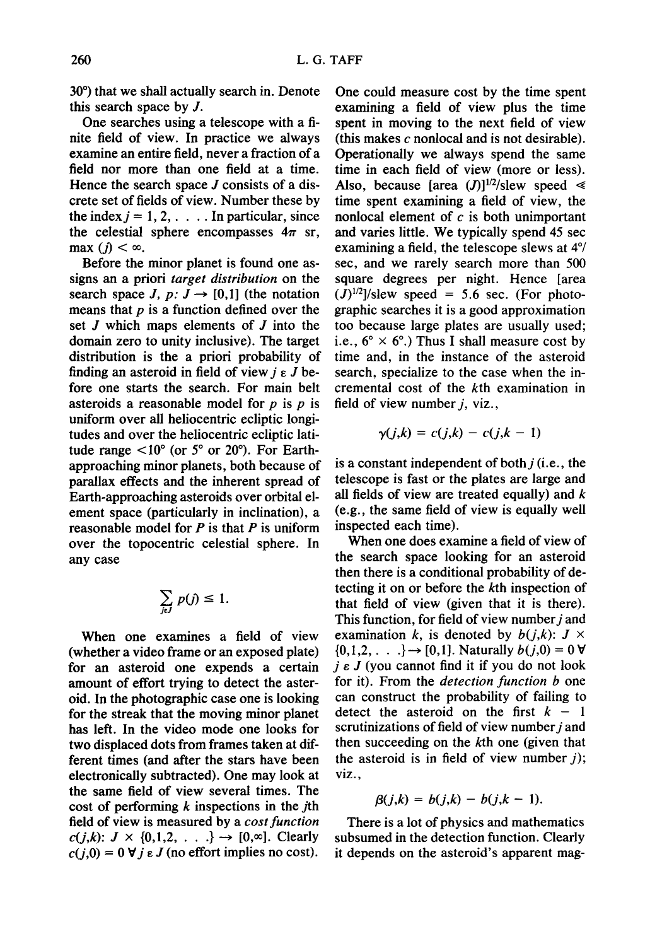30<sup>°</sup>) that we shall actually search in. Denote this search space by J.

One searches using a telescope with a finite field of view. In practice we always examine an entire field, never a fraction of a field nor more than one field at a time. Hence the search space  $J$  consists of a discrete set of fields of view. Number these by the index  $j = 1, 2, \ldots$ . In particular, since the celestial sphere encompasses  $4\pi$  sr, max ( $j$ )  $< \infty$ .

Before the minor planet is found one assigns an a priori *target distribution* on the search space *J, p: J*  $\rightarrow$  [0,1] (the notation means that  $p$  is a function defined over the set J which maps elements of J into the domain zero to unity inclusive). The target distribution is the a priori probability of finding an asteroid in field of view  $j \in J$  before one starts the search. For main belt asteroids a reasonable model for  $p$  is  $p$  is uniform over all heliocentric ecliptic longitudes and over the heliocentric ecliptic latitude range  $\langle 10^{\circ}$  (or 5° or 20°). For Earthapproaching minor planets, both because of parallax effects and the inherent spread of Earth-approaching asteroids over orbital element space (particularly in inclination), a reasonable model for  $P$  is that  $P$  is uniform over the topocentric celestial sphere. In any case

$$
\sum_{j\in J} p(j) \leq 1.
$$

When one examines a field of view (whether a video frame or an exposed plate) for an asteroid one expends a certain amount of effort trying to detect the asteroid. In the photographic case one is looking for the streak that the moving minor planet has left. In the video mode one looks for two displaced dots from frames taken at different times (and after the stars have been electronically subtracted). One may look at the same field of view several times. The cost of performing  $k$  inspections in the  $j$ th field of view is measured by a *cost function*   $c(j,k): J \times \{0,1,2,\ldots\} \rightarrow [0,\infty]$ . Clearly  $c(j,0) = 0 \forall j \in J$  (no effort implies no cost).

One could measure cost by the time spent examining a field of view plus the time spent in moving to the next field of view (this makes  $c$  nonlocal and is not desirable). Operationally we always spend the same time in each field of view (more or less). Also, because [area  $(J)$ ]<sup>1/2</sup>/slew speed  $\ll$ time spent examining a field of view, the nonlocal element of  $c$  is both unimportant and varies little. We typically spend 45 sec examining a field, the telescope slews at 4°/ sec, and we rarely search more than 500 square degrees per night. Hence [area  $(J)^{1/2}$ /slew speed = 5.6 sec. (For photographic searches it is a good approximation too because large plates are usually used; i.e.,  $6^{\circ} \times 6^{\circ}$ .) Thus I shall measure cost by time and, in the instance of the asteroid search, specialize to the case when the incremental cost of the kth examination in field of view number  $j$ , viz.,

$$
\gamma(j,k)=c(j,k)-c(j,k-1)
$$

is a constant independent of both  $i$  (i.e., the telescope is fast or the plates are large and all fields of view are treated equally) and  $k$ (e.g., the same field of view is equally well inspected each time).

When one does examine a field of view of the search space looking for an asteroid then there is a conditional probability of detecting it on or before the kth inspection of that field of view (given that it is there). This function, for field of view number  $j$  and examination k, is denoted by  $b(j,k)$ :  $J \times$  $\{0,1,2, \ldots\} \rightarrow [0,1]$ . Naturally  $b(j,0) = 0$   $\forall$  $j \varepsilon J$  (you cannot find it if you do not look for it). From the *detection function b* one can construct the probability of failing to detect the asteroid on the first  $k - 1$ scrutinizations of field of view number  $j$  and then succeeding on the kth one (given that the asteroid is in field of view number  $j$ ); viz.,

$$
\beta(j,k) = b(j,k) - b(j,k-1).
$$

There is a lot of physics and mathematics subsumed in the detection function. Clearly it depends on the asteroid's apparent mag-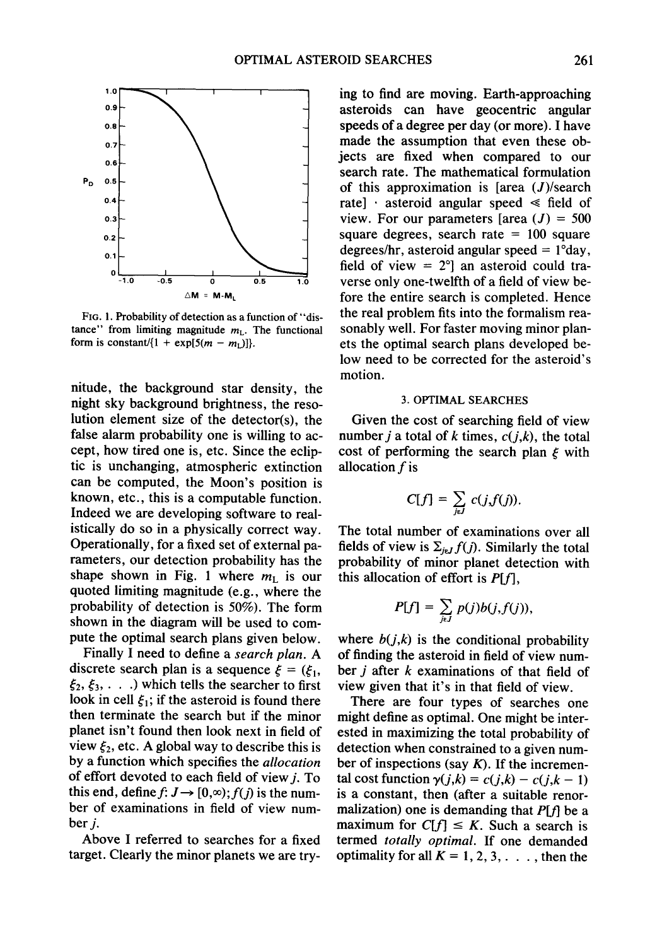

FIG. 1. Probability of detection as a function of "distance" from limiting magnitude  $m<sub>L</sub>$ . The functional form is constant/ $\{1 + \exp[5(m - m_1)]\}.$ 

nitude, the background star density, the night sky background brightness, the resolution element size of the detector(s), the false alarm probability one is willing to accept, how tired one is, etc. Since the ecliptic is unchanging, atmospheric extinction can be computed, the Moon's position is known, etc., this is a computable function. Indeed we are developing software to realistically do so in a physically correct way. Operationally, for a fixed set of external parameters, our detection probability has the shape shown in Fig. 1 where  $m_{\text{L}}$  is our quoted limiting magnitude (e.g., where the probability of detection is 50%). The form shown in the diagram will be used to compute the optimal search plans given below.

Finally I need to define a *search plan. A*  discrete search plan is a sequence  $\xi = (\xi_1, \xi_2)$  $\xi_2, \xi_3, \ldots$ . ) which tells the searcher to first look in cell  $\xi_1$ ; if the asteroid is found there then terminate the search but if the minor planet isn't found then look next in field of view  $\xi_2$ , etc. A global way to describe this is by a function which specifies the *allocation*  of effort devoted to each field of view  $j$ . To this end, define  $f: J \rightarrow [0,\infty); f(j)$  is the number of examinations in field of view number *i*.

Above I referred to searches for a fixed target. Clearly the minor planets we are trying to find are moving. Earth-approaching asteroids can have geocentric angular speeds of a degree per day (or more). I have made the assumption that even these objects are fixed when compared to our search rate. The mathematical formulation of this approximation is [area  $(J)/$ search rate]  $\cdot$  asteroid angular speed  $\le$  field of view. For our parameters [area  $(J) = 500$ square degrees, search rate  $= 100$  square degrees/hr, asteroid angular speed  $= 1^{\circ}$ day, field of view  $= 2$ <sup>o</sup>] an asteroid could traverse only one-twelfth of a field of view before the entire search is completed. Hence the real problem fits into the formalism reasonably well. For faster moving minor planets the optimal search plans developed below need to be corrected for the asteroid's motion.

## 3. OPTIMAL SEARCHES

Given the cost of searching field of view number *j* a total of *k* times,  $c(j,k)$ , the total cost of performing the search plan  $\xi$  with allocation f is

$$
C[f] = \sum_{j \in J} c(j, f(j)).
$$

The total number of examinations over all fields of view is  $\Sigma_{i \in I} f(j)$ . Similarly the total probability of minor planet detection with this allocation of effort is  $P[f]$ ,

$$
P[f] = \sum_{j\in J} p(j)b(j, f(j)),
$$

where  $b(j,k)$  is the conditional probability of finding the asteroid in field of view number  $i$  after  $k$  examinations of that field of view given that it's in that field of view.

There are four types of searches one might define as optimal. One might be interested in maximizing the total probability of detection when constrained to a given number of inspections (say  $K$ ). If the incremental cost function  $\gamma(j,k) = c(j,k) - c(j,k-1)$ is a constant, then (after a suitable renormalization) one is demanding that  $P[f]$  be a maximum for  $C[f] \leq K$ . Such a search is termed *totally optimal.* If one demanded optimality for all  $K = 1, 2, 3, \ldots$ , then the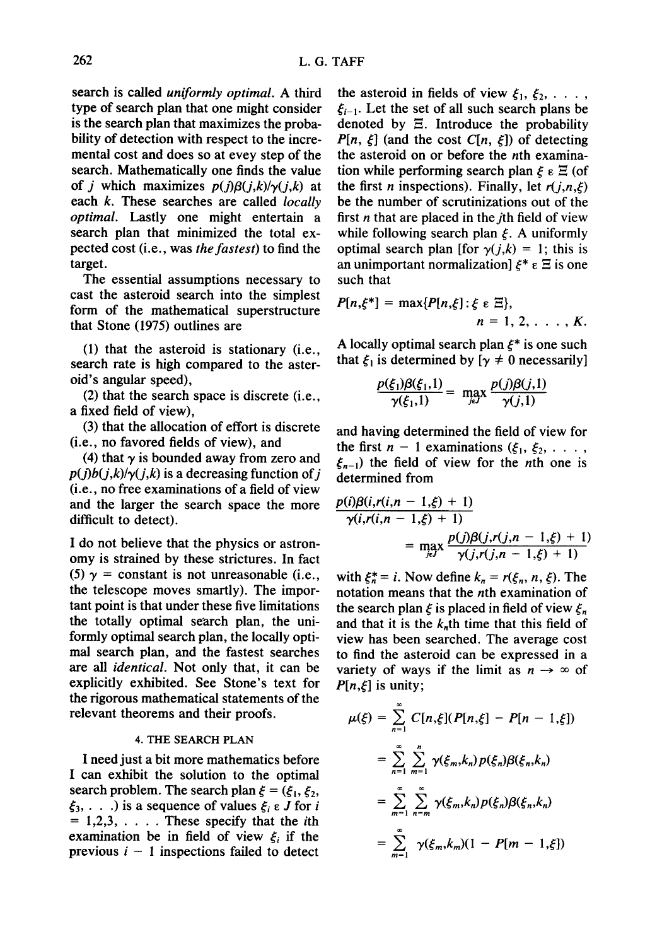search is called *uniformly optimal.* A third type of search plan that one might consider is the search plan that maximizes the probability of detection with respect to the incremental cost and does so at evey step of the search. Mathematically one finds the value of *j* which maximizes  $p(j)\beta(j,k)/\gamma(j,k)$  at each k. These searches are called *locally optimal.* Lastly one might entertain a search plan that minimized the total expected cost (i.e., was *the fastest)* to find the target.

The essential assumptions necessary to cast the asteroid search into the simplest form of the mathematical superstructure that Stone (1975) outlines are

(1) that the asteroid is stationary (i.e., search rate is high compared to the asteroid's angular speed),

(2) that the search space is discrete (i.e., a fixed field of view),

(3) that the allocation of effort is discrete (i.e., no favored fields of view), and

(4) that  $\gamma$  is bounded away from zero and  $p(j)b(j,k)/\gamma(j,k)$  is a decreasing function of j (i.e., no free examinations of a field of view and the larger the search space the more difficult to detect).

I do not believe that the physics or astronomy is strained by these strictures. In fact (5)  $\gamma$  = constant is not unreasonable (i.e., the telescope moves smartly). The important point is that under these five limitations the totally optimal search plan, the uniformly optimal search plan, the locally optimal search plan, and the fastest searches *are all identical.* Not only that, it can be explicitly exhibited. See Stone's text for the rigorous mathematical statements of the relevant theorems and their proofs.

## 4. THE SEARCH PLAN

I need just a bit more mathematics before I can exhibit the solution to the optimal search problem. The search plan  $\xi = (\xi_1, \xi_2, \xi_3)$  $\xi_3, \ldots$ ) is a sequence of values  $\xi_i \in J$  for i  $= 1,2,3, \ldots$ . These specify that the *i*th examination be in field of view  $\xi_i$  if the previous  $i - 1$  inspections failed to detect the asteroid in fields of view  $\xi_1, \xi_2, \ldots$ ,  $\xi_{i-1}$ . Let the set of all such search plans be denoted by  $\Xi$ . Introduce the probability *P[n,*  $\xi$ *]* (and the cost *C[n,*  $\xi$ *]*) of detecting the asteroid on or before the nth examination while performing search plan  $\xi \in \Xi$  (of the first *n* inspections). Finally, let  $r(j, n, \xi)$ be the number of scrutinizations out of the first  $n$  that are placed in the  $j$ th field of view while following search plan  $\xi$ . A uniformly optimal search plan [for  $y(j,k) = 1$ ; this is an unimportant normalization]  $\zeta^* \in \Xi$  is one such that

$$
P[n,\xi^*]=\max\{P[n,\xi]:\xi\in\Xi\},
$$
  
 
$$
n=1,2,\ldots,K.
$$

A locally optimal search plan  $\xi^*$  is one such that  $\xi_1$  is determined by [ $\gamma \neq 0$  necessarily]

$$
\frac{p(\xi_1)\beta(\xi_1,1)}{\gamma(\xi_1,1)} = \max_{j \in J} \frac{p(j)\beta(j,1)}{\gamma(j,1)}
$$

and having determined the field of view for the first  $n - 1$  examinations  $({\xi}_1, {\xi}_2, \ldots, {\xi}_n)$  $\xi_{n-1}$ ) the field of view for the *n*th one is determined from

$$
\frac{p(i)\beta(i,r(i,n-1,\xi)+1)}{\gamma(i,r(i,n-1,\xi)+1)} = \max_{j \in J} \frac{p(j)\beta(j,r(j,n-1,\xi)+1)}{\gamma(j,r(j,n-1,\xi)+1)}
$$

with  $\xi_n^* = i$ . Now define  $k_n = r(\xi_n, n, \xi)$ . The notation means that the nth examination of the search plan  $\xi$  is placed in field of view  $\xi_n$ and that it is the  $k<sub>n</sub>$ th time that this field of view has been searched. The average cost to find the asteroid can be expressed in a variety of ways if the limit as  $n \to \infty$  of  $P[n,\xi]$  is unity;

$$
\mu(\xi) = \sum_{n=1}^{\infty} C[n,\xi](P[n,\xi] - P[n-1,\xi])
$$
  
= 
$$
\sum_{n=1}^{\infty} \sum_{m=1}^{n} \gamma(\xi_m, k_n) p(\xi_n) \beta(\xi_n, k_n)
$$
  
= 
$$
\sum_{m=1}^{\infty} \sum_{n=m}^{\infty} \gamma(\xi_m, k_n) p(\xi_n) \beta(\xi_n, k_n)
$$
  
= 
$$
\sum_{m=1}^{\infty} \gamma(\xi_m, k_m) (1 - P[m-1,\xi])
$$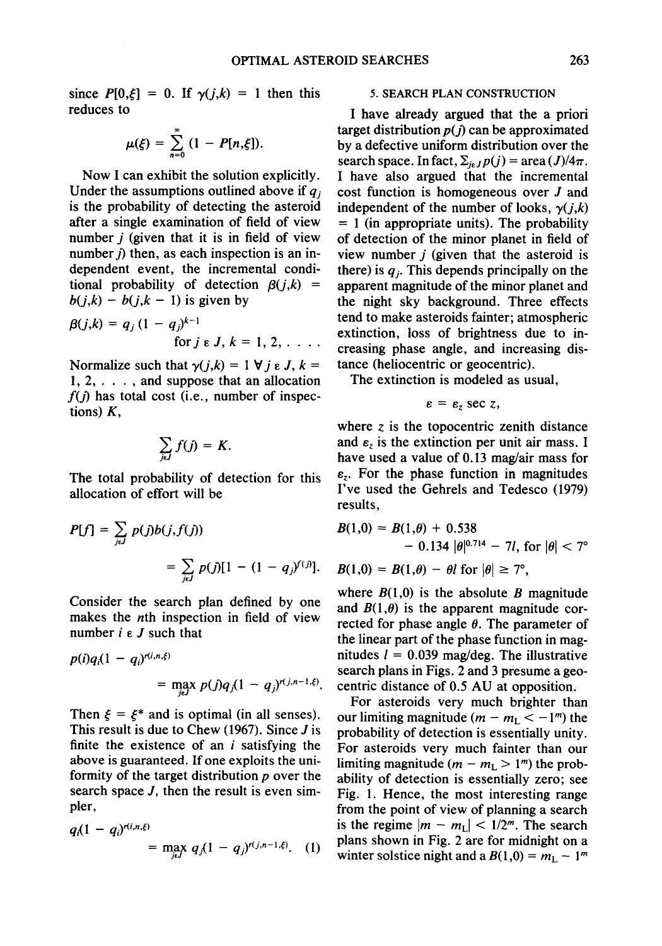since  $P[0,\xi] = 0$ . If  $\gamma(j,k) = 1$  then this reduces to

$$
\mu(\xi) = \sum_{n=0}^{\infty} (1 - P[n,\xi]).
$$

Now I can exhibit the solution explicitly. Under the assumptions outlined above if  $q_i$ is the probability of detecting the asteroid after a single examination of field of view number  $j$  (given that it is in field of view number  $j$ ) then, as each inspection is an independent event, the incremental conditional probability of detection  $\beta(j,k)$  =  $b(j,k) - b(j,k-1)$  is given by

$$
\beta(j,k) = q_j (1 - q_j)^{k-1} \text{ for } j \in J, k = 1, 2, \ldots
$$

Normalize such that  $y(j,k) = 1 \forall j \in J, k =$  $1, 2, \ldots$ , and suppose that an allocation  $f(j)$  has total cost (i.e., number of inspections)  $K$ ,

$$
\sum_{j\in J} f(j) = K.
$$

The total probability of detection for this allocation of effort will be

$$
P[f] = \sum_{j \in J} p(j)b(j, f(j))
$$
  
=  $\sum_{j \in J} p(j)[1 - (1 - q_j)^{f(j)}].$ 

Consider the search plan defined by one makes the nth inspection in field of view number  $i \in J$  such that

$$
p(i)q_i(1 - q_i)^{r(i, n, \xi)}
$$
  
= 
$$
\max_{j \in J} p(j)q_j(1 - q_j)^{r(j, n-1, \xi)}.
$$

Then  $\zeta = \zeta^*$  and is optimal (in all senses). This result is due to Chew (1967). Since  $J$  is finite the existence of an  $i$  satisfying the above is guaranteed. If one exploits the uniformity of the target distribution  $p$  over the search space *J*, then the result is even simpler,

$$
q_i(1 - q_i)^{r(i, n, \xi)} = \max_{j \in J} q_j (1 - q_j)^{r(j, n-1, \xi)}. (1)
$$

## 5. SEARCH PLAN CONSTRUCTION

I have already argued that the a priori target distribution  $p(j)$  can be approximated by a defective uniform distribution over the search space. In fact,  $\Sigma_{i\epsilon J}p(j) = \text{area} (J)/4\pi$ . I have also argued that the incremental cost function is homogeneous over J and independent of the number of looks,  $\gamma(j,k)$  $= 1$  (in appropriate units). The probability of detection of the minor planet in field of view number  $j$  (given that the asteroid is there) is  $q_i$ . This depends principally on the apparent magnitude of the minor planet and the night sky background. Three effects tend to make asteroids fainter; atmospheric extinction, loss of brightness due to increasing phase angle, and increasing distance (heliocentric or geocentric).

The extinction is modeled as usual,

$$
\varepsilon = \varepsilon_z \sec z,
$$

where  $z$  is the topocentric zenith distance and  $\varepsilon_z$  is the extinction per unit air mass. I have used a value of 0.13 mag/air mass for  $\varepsilon$ <sub>z</sub>. For the phase function in magnitudes I've used the Gehrels and Tedesco (1979) results,

$$
B(1,0) = B(1,\theta) + 0.538
$$
  
- 0.134  $|\theta|^{0.714} - 7l$ , for  $|\theta| < 7^{\circ}$ 

$$
B(1,0) = B(1,\theta) - \theta l \text{ for } |\theta| \geq 7^{\circ},
$$

where  $B(1,0)$  is the absolute B magnitude and  $B(1,\theta)$  is the apparent magnitude corrected for phase angle  $\theta$ . The parameter of the linear part of the phase function in magnitudes  $l = 0.039$  mag/deg. The illustrative search plans in Figs. 2 and 3 presume a geocentric distance of 0.5 AU at opposition.

For asteroids very much brighter than our limiting magnitude  $(m - m_L < -1<sup>m</sup>)$  the probability of detection is essentially unity. For asteroids very much fainter than our limiting magnitude  $(m - m_L > 1<sup>m</sup>)$  the probability of detection is essentially zero; see Fig. 1. Hence, the most interesting range from the point of view of planning a search is the regime  $|m - m<sub>L</sub>| < 1/2<sup>m</sup>$ . The search plans shown in Fig. 2 are for midnight on a winter solstice night and a  $B(1,0) = m<sub>L</sub> - 1<sup>m</sup>$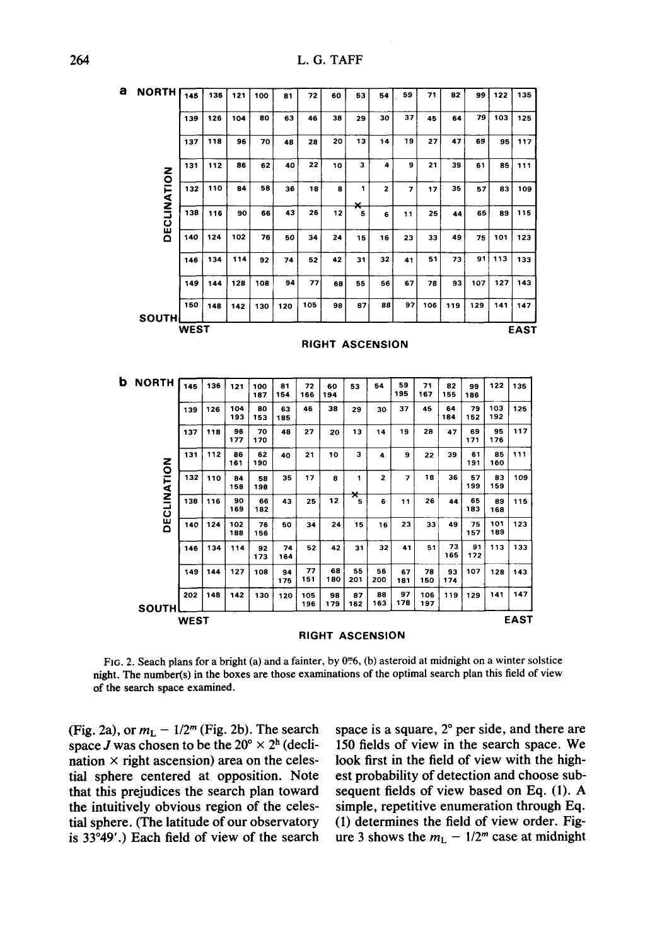**264 L.G. TAFF** 

| a                      | NORTH                       | 145 | 136 | 121        | 100       | 81        | 72         | 60                     | 53                     | 54                      | 59             | 71         | 82          | 99        | 122        | 135 |
|------------------------|-----------------------------|-----|-----|------------|-----------|-----------|------------|------------------------|------------------------|-------------------------|----------------|------------|-------------|-----------|------------|-----|
|                        | DECLINATION<br><b>SOUTH</b> | 139 | 126 | 104        | 80        | 63        | 46         | 38                     | 29                     | 30                      | 37             | 45         | 64          | 79        | 103        | 125 |
|                        |                             | 137 | 118 | 96         | 70        | 48        | 28         | 20                     | 13                     | 14                      | 19             | 27         | 47          | 69        | 95         | 117 |
|                        |                             | 131 | 112 | 86         | 62        | 40        | 22         | 10                     | з                      | 4                       | 9              | 21         | 39          | 61        | 85         | 111 |
|                        |                             | 132 | 110 | 84         | 58        | 36        | 18         | 8                      | 1                      | $\mathbf{z}$            | $\overline{7}$ | 17         | 35          | 57        | 83         | 109 |
|                        |                             | 138 | 116 | 90         | 66        | 43        | 26         | 12                     | ×<br>5                 | 6                       | 11             | 25         | 44          | 65        | 89         | 115 |
|                        |                             | 140 | 124 | 102        | 76        | 50        | 34         | 24                     | 15                     | 16                      | 23             | 33         | 49          | 75        | 101        | 123 |
|                        |                             | 146 | 134 | 114        | 92        | 74        | 52         | 42                     | 31                     | 32                      | 41             | 51         | 73          | 91        | 113        | 133 |
|                        |                             | 149 | 144 | 128        | 108       | 94        | 77         | 68                     | 55                     | 56                      | 67             | 78         | 93          | 107       | 127        | 143 |
|                        |                             | 150 | 148 | 142        | 130       | 120       | 105        | 98                     | 87                     | 88                      | 97             | 106        | 119         | 129       | 141        | 147 |
| <b>WEST</b>            |                             |     |     |            |           |           |            |                        |                        |                         |                |            | <b>EAST</b> |           |            |     |
| <b>RIGHT ASCENSION</b> |                             |     |     |            |           |           |            |                        |                        |                         |                |            |             |           |            |     |
|                        | <b>b</b> NORTH              | 145 | 136 | 121        | 100       | 81        | 72         | 60                     | 53                     | 54                      | 59             | 71         | 82          | 99        | 122        | 135 |
|                        |                             |     |     | 104        | 187<br>80 | 154       | 166        | 194<br>38              |                        |                         | 195            | 167        | 155<br>64   | 186<br>79 | 103        |     |
|                        | DECLINATION<br><b>SOUTH</b> | 139 | 126 | 193        | 153       | 63<br>185 | 46         |                        | 29                     | 30                      | 37             | 45         | 184         | 152       | 192        | 125 |
|                        |                             | 137 | 118 | 96<br>177  | 70<br>170 | 48        | 27         | 20                     | 13                     | 14                      | 19             | 28         | 47          | 69<br>171 | 95<br>176  | 117 |
|                        |                             | 131 | 112 | 86<br>161  | 62<br>190 | 40        | 21         | 10                     | 3                      | 4                       | 9              | 22         | 39          | 61<br>191 | 85<br>160  | 111 |
|                        |                             | 132 | 110 | 84<br>158  | 58<br>198 | 35        | 17         | 8                      | 1                      | $\overline{\mathbf{z}}$ | $\overline{z}$ | 18         | 36          | 57<br>199 | 83<br>159  | 109 |
|                        |                             | 138 | 116 | 90<br>169  | 66<br>182 | 43        | 25         | 12                     | $\star_{\overline{5}}$ | 6                       | 11             | 26         | 44          | 65<br>183 | 89<br>168  | 115 |
|                        |                             | 140 | 124 | 102<br>188 | 76<br>156 | 50        | 34         | 24                     | 15                     | 16                      | 23             | 33         | 49          | 75<br>157 | 101<br>189 | 123 |
|                        |                             | 146 | 134 | 114        | 92<br>173 | 74<br>164 | 52         | 42                     | 31                     | 32                      | 41             | 51         | 73<br>165   | 91<br>172 | 113        | 133 |
|                        |                             | 149 | 144 | 127        | 108       | 94<br>175 | 77<br>151  | 68<br>180              | 55<br>201              | 56<br>200               | 67<br>181      | 78<br>150  | 93<br>174   | 107       | 128        | 143 |
|                        |                             | 202 | 148 | 142        | 130       | 120       | 105<br>196 | 98<br>179              | 87<br>162              | 88<br>163               | 97<br>178      | 106<br>197 | 119         | 129       | 141        | 147 |
| <b>EAST</b><br>WEST    |                             |     |     |            |           |           |            |                        |                        |                         |                |            |             |           |            |     |
|                        |                             |     |     |            |           |           |            | <b>RIGHT ASCENSION</b> |                        |                         |                |            |             |           |            |     |

FIG. 2. Seach plans for a bright (a) and a fainter, by 0<sup>m</sup>6, (b) asteroid at midnight on a winter solstice **night. The number(s) in the boxes are those examinations of the optimal search plan this field of view of the search space examined.** 

space J was chosen to be the  $20^{\circ} \times 2^{\text{h}}$  (decli- 150 fields of view in the search space. We nation  $\times$  right ascension) area on the celes- look first in the field of view with the high**tial sphere centered at opposition. Note est probability of detection and choose subthat this prejudices the search plan toward sequent fields of view based on Eq. (1). A the intuitively obvious region of the celes- simple, repetitive enumeration through Eq. tial sphere. (The latitude of our observatory (1) determines the field of view order. Fig**is 33°49'.) Each field of view of the search ure 3 shows the  $m_L - 1/2^m$  case at midnight

**(Fig. 2a), or**  $m_L - 1/2^m$  **(Fig. 2b). The search** space is a square, 2° per side, and there are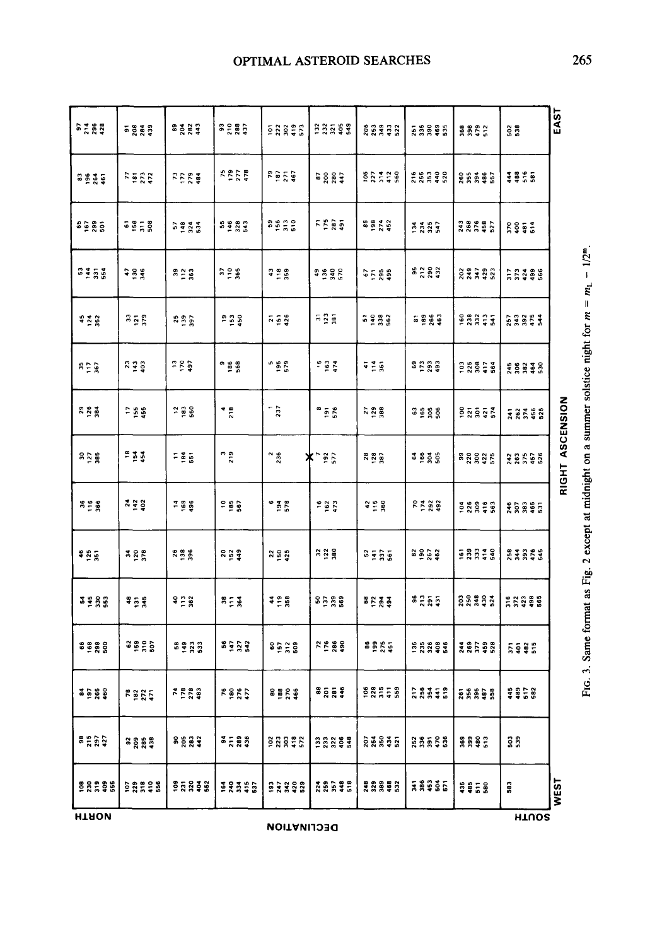| <b>SE 528</b> | <b>ត</b> ក្តី គួន                              | និទ្តីឌី                 | និន្តនិ         | 58893                  | 335\$\$                     | 83333             | 55885          | 8882         | $\frac{2}{3}$   | EAST         |
|---------------|------------------------------------------------|--------------------------|-----------------|------------------------|-----------------------------|-------------------|----------------|--------------|-----------------|--------------|
| និទ្ធិទី      | 7522<br>752                                    | 7224                     | 5578            | <b>Part</b><br>1874    |                             | 22128             | <b>28838</b>   | <b>86356</b> | <b>\$\$\$\$</b> |              |
| ទីខ្លួន       | 58,58                                          | 5233                     | 5983            | ទំនុំ<br>ទទួក ទ        | ក្ខន្តធ្                    | 89 A 52<br>9 A 52 | zasa           | 38552        | 5952            |              |
| 3350          | 788                                            | 328                      | 328             | 428                    | <b>a 2 3 5</b><br>a 5 4 5 6 | <b>GE 565</b>     | <b>sage</b>    | 23332        | <b>11338</b>    |              |
| 428           | $\begin{array}{c} 33 \\ 25 \\ 379 \end{array}$ | 898                      | ក្ខក្នុ         | 758                    | $\frac{5}{2}$ $\frac{3}{2}$ | 5 2 3 3           | នី តិ តិ និ    | <b>BRACE</b> | <b>23253</b>    |              |
| 350           | 250                                            | 789                      | a<br>981<br>981 | - 95<br>579            | 163                         | 725               | ទិដ្ឋិនិន្ទ    | 28858        | ****            |              |
| និទ្ធិ        | $-5.5$                                         | ុ និ ខ្ល                 | $rac{4}{218}$   | 237                    | ិ<br>ភូមិ                   | 7288              | និត្តិខ្លួ     | ខ្នួន្តទូន្ត | <b>FRASS</b>    | ASCENSION    |
| នក្នុង        | $154$<br>$154$                                 | $=$ 3 $^{\circ}_{\rm 5}$ | n 9<br>7        | $\frac{2}{36}$         | $\frac{192}{577}$<br>ж      |                   | <b>3</b> 9 8 9 | នន្តន្តដូ    | 28562           | <b>RIGHT</b> |
| 358           | <b>지 문음</b>                                    | 798                      | $185$<br>$567$  | $^{6}$ $\frac{38}{10}$ | $162$<br>$473$              | 4280              | 7588           | 28878        | <b>XARSE</b>    |              |
| <b>485</b>    | 388                                            | 788                      | នក្ខខ្ន         | ង ទី ភ្នំ              | 328                         | និទ្ធិទី          | នទ្ធន្ន        | ennee        | 83858           |              |
| ****          | 45.8                                           | 928                      | $m = 3$         | 3.28                   | នក្នុងន                     | និដ្ឋិនិទ្        | ទីក្តីឆ្ន      | និន្ទីទីទី   | <b>22386</b>    |              |
| 8888          | ទី និងទី                                       | 5233                     | នទ្ធន្ន         | ទិដ្ឋិនិ               | 7589                        | នីទ្ធិដូឆ្ន       | 55395          | <b>28538</b> | <b>Esas</b>     |              |
| 3588          | <b>2252</b>                                    | <b>2223</b><br>223       | $7800$<br>$770$ | 88888                  | និទ្ធិ ទឹ                   | <b>BREEB</b>      | <b>28352</b>   | ត្តគ្នួន     | 4858            |              |
| 3537          | នខ្លួន្ទ                                       | នន្តន្ទ                  | 3.583           | 28802                  | 23393                       | ន្តិដឹងទីន        | 88558          | <b>8882</b>  | ន្លិន្លិ        |              |
| <b>ERRSE</b>  | <b>BR#88</b>                                   | ទីភ្នំដូន                | 12355           | <b>93398</b>           | 28835                       | *****             | <b>FAGS5</b>   | \$\$5\$      | 583             | <b>WEST</b>  |
| <b>HTAON</b>  |                                                | <b>HTUOS</b>             |                 |                        |                             |                   |                |              |                 |              |

**I**  II **E = 8**  r~ M

**~2**